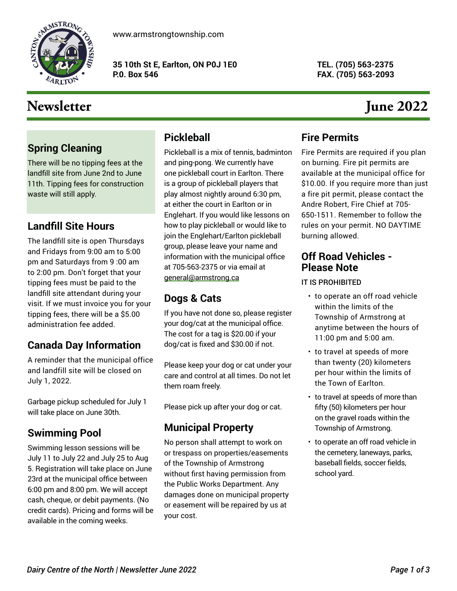

[www.armstrongtownship.com](https://www.armstrongtownship.com/)

**35 10th St E, Earlton, ON P0J 1E0 P.0. Box 546**

**TEL. (705) 563-2375 FAX. (705) 563-2093**

# Newsletter June 2022

## **Spring Cleaning**

There will be no tipping fees at the landfill site from June 2nd to June 11th. Tipping fees for construction waste will still apply.

## **Landfill Site Hours**

The landfill site is open Thursdays and Fridays from 9:00 am to 5:00 pm and Saturdays from 9 :00 am to 2:00 pm. Don't forget that your tipping fees must be paid to the landfill site attendant during your visit. If we must invoice you for your tipping fees, there will be a \$5.00 administration fee added.

## **Canada Day Information**

A reminder that the municipal office and landfill site will be closed on July 1, 2022.

Garbage pickup scheduled for July 1 will take place on June 30th.

## **Swimming Pool**

Swimming lesson sessions will be July 11 to July 22 and July 25 to Aug 5. Registration will take place on June 23rd at the municipal office between 6:00 pm and 8:00 pm. We will accept cash, cheque, or debit payments. (No credit cards). Pricing and forms will be available in the coming weeks.

## **Pickleball**

Pickleball is a mix of tennis, badminton and ping-pong. We currently have one pickleball court in Earlton. There is a group of pickleball players that play almost nightly around 6:30 pm, at either the court in Earlton or in Englehart. If you would like lessons on how to play pickleball or would like to join the Englehart/Earlton pickleball group, please leave your name and information with the municipal office at 705-563-2375 or via email at general@armstrong.ca

## **Dogs & Cats**

If you have not done so, please register your dog/cat at the municipal office. The cost for a tag is \$20.00 if your dog/cat is fixed and \$30.00 if not.

Please keep your dog or cat under your care and control at all times. Do not let them roam freely.

Please pick up after your dog or cat.

## **Municipal Property**

No person shall attempt to work on or trespass on properties/easements of the Township of Armstrong without first having permission from the Public Works Department. Any damages done on municipal property or easement will be repaired by us at your cost.

## **Fire Permits**

Fire Permits are required if you plan on burning. Fire pit permits are available at the municipal office for \$10.00. If you require more than just a fire pit permit, please contact the Andre Robert, Fire Chief at 705- 650-1511. Remember to follow the rules on your permit. NO DAYTIME burning allowed.

### **Off Road Vehicles - Please Note**

IT IS PROHIBITED

- to operate an off road vehicle within the limits of the Township of Armstrong at anytime between the hours of 11:00 pm and 5:00 am.
- to travel at speeds of more than twenty (20) kilometers per hour within the limits of the Town of Earlton.
- to travel at speeds of more than fifty (50) kilometers per hour on the gravel roads within the Township of Armstrong.
- to operate an off road vehicle in the cemetery, laneways, parks, baseball fields, soccer fields, school yard.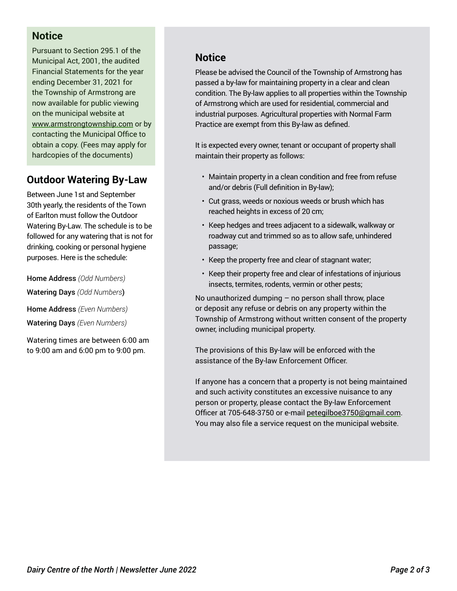## **Notice**

Pursuant to Section 295.1 of the Municipal Act, 2001, the audited Financial Statements for the year ending December 31, 2021 for the Township of Armstrong are now available for public viewing on the municipal website at www.armstrongtownship.com or by contacting the Municipal Office to obtain a copy. (Fees may apply for hardcopies of the documents)

## **Outdoor Watering By-Law**

Between June 1st and September 30th yearly, the residents of the Town of Earlton must follow the Outdoor Watering By-Law. The schedule is to be followed for any watering that is not for drinking, cooking or personal hygiene purposes. Here is the schedule:

Home Address *(Odd Numbers)* Watering Days *(Odd Numbers*) Home Address *(Even Numbers)* Watering Days *(Even Numbers)*

Watering times are between 6:00 am to 9:00 am and 6:00 pm to 9:00 pm.

## **Notice**

Please be advised the Council of the Township of Armstrong has passed a by-law for maintaining property in a clear and clean condition. The By-law applies to all properties within the Township of Armstrong which are used for residential, commercial and industrial purposes. Agricultural properties with Normal Farm Practice are exempt from this By-law as defined.

It is expected every owner, tenant or occupant of property shall maintain their property as follows:

- Maintain property in a clean condition and free from refuse and/or debris (Full definition in By-law);
- Cut grass, weeds or noxious weeds or brush which has reached heights in excess of 20 cm;
- Keep hedges and trees adjacent to a sidewalk, walkway or roadway cut and trimmed so as to allow safe, unhindered passage;
- Keep the property free and clear of stagnant water;
- Keep their property free and clear of infestations of injurious insects, termites, rodents, vermin or other pests;

No unauthorized dumping  $-$  no person shall throw, place or deposit any refuse or debris on any property within the Township of Armstrong without written consent of the property owner, including municipal property.

The provisions of this By-law will be enforced with the assistance of the By-law Enforcement Officer.

If anyone has a concern that a property is not being maintained and such activity constitutes an excessive nuisance to any person or property, please contact the By-law Enforcement Officer at 705-648-3750 or e-mail petegilboe3750@gmail.com. You may also file a service request on the municipal website.